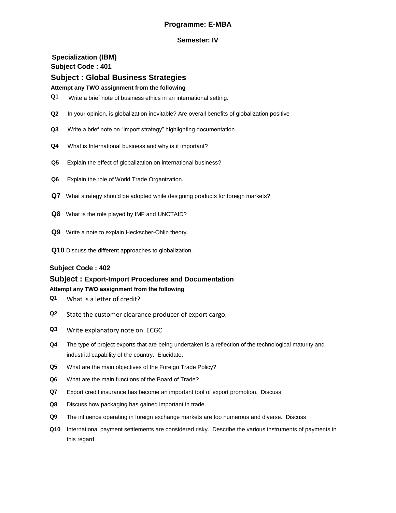# **Programme: E-MBA**

## **Semester: IV**

# **Specialization (IBM) Subject Code : 401 Subject : Global Business Strategies**

## **Attempt any TWO assignment from the following**

- **Q1** Write a brief note of business ethics in an international setting.
- **Q2** In your opinion, is globalization inevitable? Are overall benefits of globalization positive
- **Q3** Write a brief note on "import strategy" highlighting documentation.
- **Q4** What is International business and why is it important?
- **Q5** Explain the effect of globalization on international business?
- **Q6** Explain the role of World Trade Organization.
- **Q7** What strategy should be adopted while designing products for foreign markets?
- **Q8** What is the role played by IMF and UNCTAID?
- **Q9** Write a note to explain Heckscher-Ohlin theory.
- **Q10** Discuss the different approaches to globalization.

## **Subject Code : 402**

# **Subject : Export-Import Procedures and Documentation**

- **Q1** What is a letter of credit?
- **Q2** State the customer clearance producer of export cargo.
- **Q3** Write explanatory note on ECGC
- **Q4** The type of project exports that are being undertaken is a reflection of the technological maturity and industrial capability of the country. Elucidate.
- **Q5** What are the main objectives of the Foreign Trade Policy?
- **Q6** What are the main functions of the Board of Trade?
- **Q7** Export credit insurance has become an important tool of export promotion. Discuss.
- **Q8** Discuss how packaging has gained important in trade.
- **Q9** The influence operating in foreign exchange markets are too numerous and diverse. Discuss
- **Q10** International payment settlements are considered risky. Describe the various instruments of payments in this regard.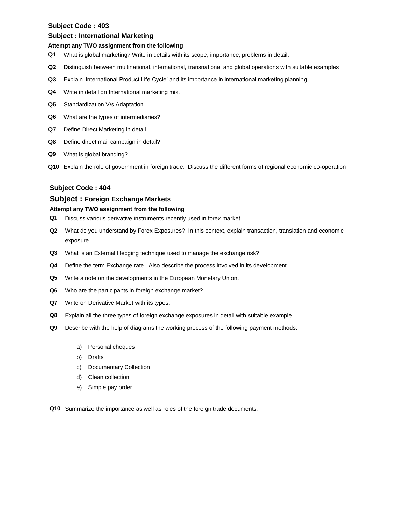#### **Subject : International Marketing**

#### **Attempt any TWO assignment from the following**

- **Q1** What is global marketing? Write in details with its scope, importance, problems in detail.
- **Q2** Distinguish between multinational, international, transnational and global operations with suitable examples
- **Q3** Explain "International Product Life Cycle" and its importance in international marketing planning.
- **Q4** Write in detail on International marketing mix.
- **Q5** Standardization V/s Adaptation
- **Q6** What are the types of intermediaries?
- **Q7** Define Direct Marketing in detail.
- **Q8** Define direct mail campaign in detail?
- **Q9** What is global branding?
- **Q10** Explain the role of government in foreign trade. Discuss the different forms of regional economic co-operation

## **Subject Code : 404**

## **Subject : Foreign Exchange Markets**

- **Q1** Discuss various derivative instruments recently used in forex market
- **Q2** What do you understand by Forex Exposures? In this context, explain transaction, translation and economic exposure.
- **Q3** What is an External Hedging technique used to manage the exchange risk?
- **Q4** Define the term Exchange rate. Also describe the process involved in its development.
- **Q5** Write a note on the developments in the European Monetary Union.
- **Q6** Who are the participants in foreign exchange market?
- **Q7** Write on Derivative Market with its types.
- **Q8** Explain all the three types of foreign exchange exposures in detail with suitable example.
- **Q9** Describe with the help of diagrams the working process of the following payment methods:
	- a) Personal cheques
	- b) Drafts
	- c) Documentary Collection
	- d) Clean collection
	- e) Simple pay order
- **Q10** Summarize the importance as well as roles of the foreign trade documents.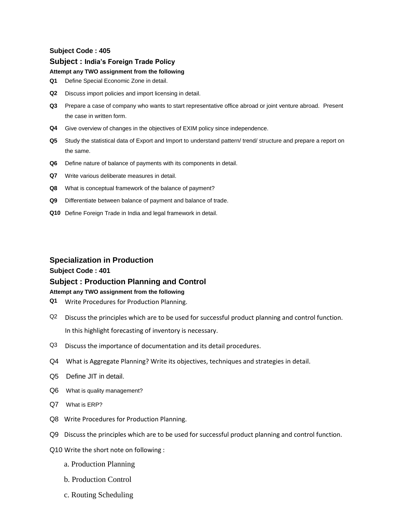## **Subject : India's Foreign Trade Policy**

### **Attempt any TWO assignment from the following**

- **Q1** Define Special Economic Zone in detail.
- **Q2** Discuss import policies and import licensing in detail.
- **Q3** Prepare a case of company who wants to start representative office abroad or joint venture abroad. Present the case in written form.
- **Q4** Give overview of changes in the objectives of EXIM policy since independence.
- **Q5** Study the statistical data of Export and Import to understand pattern/ trend/ structure and prepare a report on the same.
- **Q6** Define nature of balance of payments with its components in detail.
- **Q7** Write various deliberate measures in detail.
- **Q8** What is conceptual framework of the balance of payment?
- **Q9** Differentiate between balance of payment and balance of trade.
- **Q10** Define Foreign Trade in India and legal framework in detail.

## **Specialization in Production**

## **Subject Code : 401**

## **Subject : Production Planning and Control**

- **Q1** Write Procedures for Production Planning.
- Q2 Discuss the principles which are to be used for successful product planning and control function. In this highlight forecasting of inventory is necessary.
- Q3 Discuss the importance of documentation and its detail procedures.
- Q4 What is Aggregate Planning? Write its objectives, techniques and strategies in detail.
- Q5 Define JIT in detail.
- Q6 What is quality management?
- Q7 What is ERP?
- Q8 Write Procedures for Production Planning.
- Q9 Discuss the principles which are to be used for successful product planning and control function.
- Q10 Write the short note on following :
	- a. Production Planning
	- b. Production Control
	- c. Routing Scheduling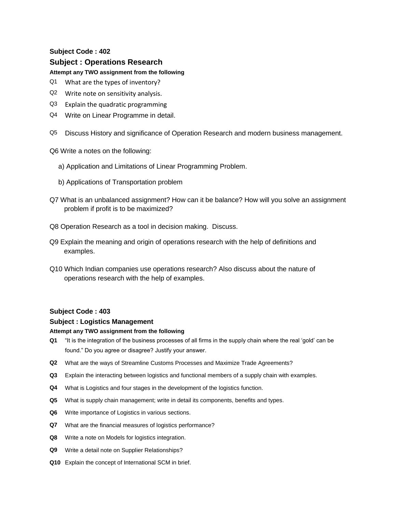# **Subject : Operations Research**

## **Attempt any TWO assignment from the following**

- Q1 What are the types of inventory?
- Q2 Write note on sensitivity analysis.
- Q3 Explain the quadratic programming
- Q4 Write on Linear Programme in detail.
- Q5 Discuss History and significance of Operation Research and modern business management.

Q6 Write a notes on the following:

- a) Application and Limitations of Linear Programming Problem.
- b) Applications of Transportation problem
- Q7 What is an unbalanced assignment? How can it be balance? How will you solve an assignment problem if profit is to be maximized?
- Q8 Operation Research as a tool in decision making. Discuss.
- Q9 Explain the meaning and origin of operations research with the help of definitions and examples.
- Q10 Which Indian companies use operations research? Also discuss about the nature of operations research with the help of examples.

## **Subject Code : 403**

## **Subject : Logistics Management**

- **Q1** "It is the integration of the business processes of all firms in the supply chain where the real "gold" can be found." Do you agree or disagree? Justify your answer.
- **Q2** What are the ways of Streamline Customs Processes and Maximize Trade Agreements?
- **Q3** Explain the interacting between logistics and functional members of a supply chain with examples.
- **Q4** What is Logistics and four stages in the development of the logistics function.
- **Q5** What is supply chain management; write in detail its components, benefits and types.
- **Q6** Write importance of Logistics in various sections.
- **Q7** What are the financial measures of logistics performance?
- **Q8** Write a note on Models for logistics integration.
- **Q9** Write a detail note on Supplier Relationships?
- **Q10** Explain the concept of International SCM in brief.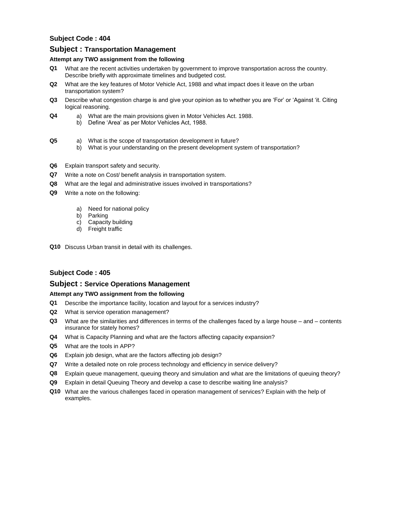## **Subject : Transportation Management**

#### **Attempt any TWO assignment from the following**

- **Q1** What are the recent activities undertaken by government to improve transportation across the country. Describe briefly with approximate timelines and budgeted cost.
- **Q2** What are the key features of Motor Vehicle Act, 1988 and what impact does it leave on the urban transportation system?
- **Q3** Describe what congestion charge is and give your opinion as to whether you are "For" or "Against "it. Citing logical reasoning.
- **Q4** a) What are the main provisions given in Motor Vehicles Act. 1988.
	- b) Define 'Area' as per Motor Vehicles Act, 1988.

# **Q5** a) What is the scope of transportation development in future?

- b) What is your understanding on the present development system of transportation?
- **Q6** Explain transport safety and security.
- **Q7** Write a note on Cost/ benefit analysis in transportation system.
- **Q8** What are the legal and administrative issues involved in transportations?
- **Q9** Write a note on the following:
	- a) Need for national policy
	- b) Parking
	- c) Capacity building
	- d) Freight traffic
- **Q10** Discuss Urban transit in detail with its challenges.

## **Subject Code : 405**

## **Subject : Service Operations Management**

- **Q1** Describe the importance facility, location and layout for a services industry?
- **Q2** What is service operation management?
- **Q3** What are the similarities and differences in terms of the challenges faced by a large house and contents insurance for stately homes?
- **Q4** What is Capacity Planning and what are the factors affecting capacity expansion?
- **Q5** What are the tools in APP?
- **Q6** Explain job design, what are the factors affecting job design?
- **Q7** Write a detailed note on role process technology and efficiency in service delivery?
- **Q8** Explain queue management, queuing theory and simulation and what are the limitations of queuing theory?
- **Q9** Explain in detail Queuing Theory and develop a case to describe waiting line analysis?
- **Q10** What are the various challenges faced in operation management of services? Explain with the help of examples.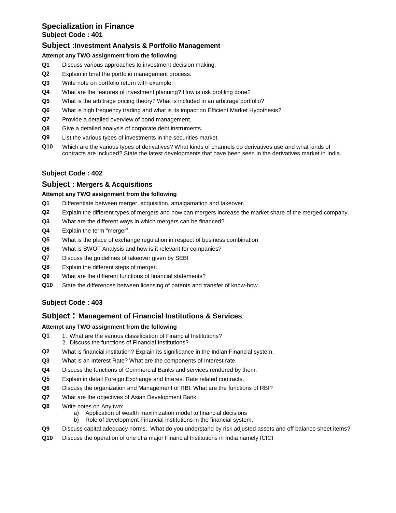# **Specialization in Finance Subject Code : 401**

# **Subject :Investment Analysis & Portfolio Management**

## **Attempt any TWO assignment from the following**

- **Q1** Discuss various approaches to investment decision making.
- **Q2** Explain in brief the portfolio management process.
- **Q3** Write note on portfolio return with example.
- **Q4** What are the features of investment planning? How is risk profiling done?
- **Q5** What is the arbitrage pricing theory? What is included in an arbitrage portfolio?
- **Q6** What is high frequency trading and what is its impact on Efficient Market Hypothesis?
- **Q7** Provide a detailed overview of bond management.
- **Q8** Give a detailed analysis of corporate debt instruments.
- **Q9** List the various types of investments in the securities market.
- **Q10** Which are the various types of derivatives? What kinds of channels do derivatives use and what kinds of contracts are included? State the latest developments that have been seen in the derivatives market in India.

# **Subject Code : 402**

## **Subject : Mergers & Acquisitions**

## **Attempt any TWO assignment from the following**

- **Q1** Differentiate between merger, acquisition, amalgamation and takeover.
- **Q2** Explain the different types of mergers and how can mergers increase the market share of the merged company.
- **Q3** What are the different ways in which mergers can be financed?
- **Q4** Explain the term "merger".
- **Q5** What is the place of exchange regulation in respect of business combination
- **Q6** What is SWOT Analysis and how is it relevant for companies?
- **Q7** Discuss the guidelines of takeover given by SEBI
- **Q8** Explain the different steps of merger.
- **Q9** What are the different functions of financial statements?
- **Q10** State the differences between licensing of patents and transfer of know-how.

# **Subject Code : 403**

# **Subject : Management of Financial Institutions & Services**

- **Q1** 1. What are the various classification of Financial Institutions? 2. Discuss the functions of Financial Institutions?
- **Q2** What is financial institution? Explain its significance in the Indian Financial system.
- **Q3** What is an Interest Rate? What are the components of Interest rate.
- **Q4** Discuss the functions of Commercial Banks and services rendered by them.
- **Q5** Explain in detail Foreign Exchange and Interest Rate related contracts.
- **Q6** Discuss the organization and Management of RBI. What are the functions of RBI?
- **Q7** What are the objectives of Asian Development Bank
- **Q8** Write notes on Any two:
	- a) Application of wealth maximization model to financial decisions
	- b) Role of development Financial institutions in the financial system.
- **Q9** Discuss capital adequacy norms. What do you understand by risk adjusted assets and off balance sheet items?
- **Q10** Discuss the operation of one of a major Financial Institutions in India namely ICICI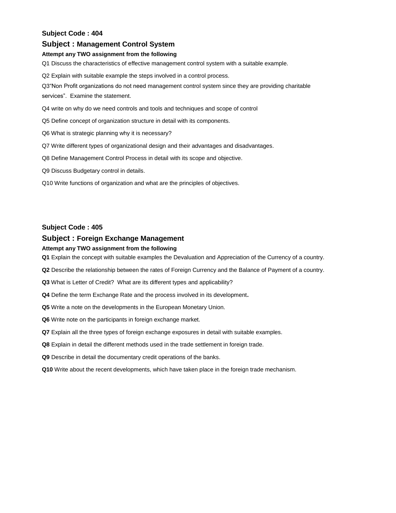## **Subject : Management Control System**

#### **Attempt any TWO assignment from the following**

Q1 Discuss the characteristics of effective management control system with a suitable example.

Q2 Explain with suitable example the steps involved in a control process.

Q3"Non Profit organizations do not need management control system since they are providing charitable

services". Examine the statement.

- Q4 write on why do we need controls and tools and techniques and scope of control
- Q5 Define concept of organization structure in detail with its components.
- Q6 What is strategic planning why it is necessary?
- Q7 Write different types of organizational design and their advantages and disadvantages.
- Q8 Define Management Control Process in detail with its scope and objective.
- Q9 Discuss Budgetary control in details.
- Q10 Write functions of organization and what are the principles of objectives.

#### **Subject Code : 405**

## **Subject : Foreign Exchange Management**

#### **Attempt any TWO assignment from the following**

**Q1** Explain the concept with suitable examples the Devaluation and Appreciation of the Currency of a country.

- **Q2** Describe the relationship between the rates of Foreign Currency and the Balance of Payment of a country.
- **Q3** What is Letter of Credit? What are its different types and applicability?
- **Q4** Define the term Exchange Rate and the process involved in its development**.**
- **Q5** Write a note on the developments in the European Monetary Union.
- **Q6** Write note on the participants in foreign exchange market.
- **Q7** Explain all the three types of foreign exchange exposures in detail with suitable examples.
- **Q8** Explain in detail the different methods used in the trade settlement in foreign trade.
- **Q9** Describe in detail the documentary credit operations of the banks.
- **Q10** Write about the recent developments, which have taken place in the foreign trade mechanism.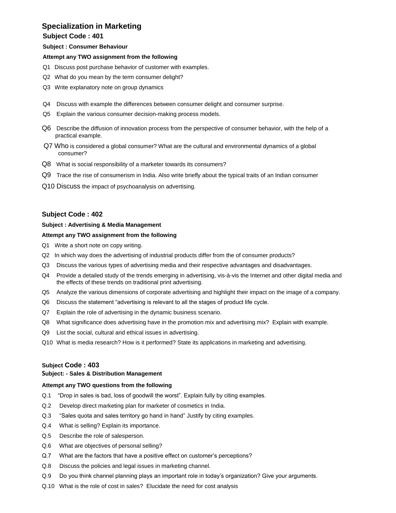# **Specialization in Marketing**

# **Subject Code : 401**

#### **Subject : Consumer Behaviour**

#### **Attempt any TWO assignment from the following**

- Q1 Discuss post purchase behavior of customer with examples.
- Q2 What do you mean by the term consumer delight?
- Q3 Write explanatory note on group dynamics
- Q4 Discuss with example the differences between consumer delight and consumer surprise.
- Q5 Explain the various consumer decision-making process models.
- Q6 Describe the diffusion of innovation process from the perspective of consumer behavior, with the help of a practical example.
- Q7 Who is considered a global consumer? What are the cultural and environmental dynamics of a global consumer?
- Q8 What is social responsibility of a marketer towards its consumers?
- Q9 Trace the rise of consumerism in India. Also write briefly about the typical traits of an Indian consumer
- Q10 Discuss the impact of psychoanalysis on advertising.

## **Subject Code : 402**

#### **Subject : Advertising & Media Management**

### **Attempt any TWO assignment from the following**

- Q1 Write a short note on copy writing.
- Q2 In which way does the advertising of industrial products differ from the of consumer products?
- Q3 Discuss the various types of advertising media and their respective advantages and disadvantages.
- Q4 Provide a detailed study of the trends emerging in advertising, vis-à-vis the Internet and other digital media and the effects of these trends on traditional print advertising.
- Q5 Analyze the various dimensions of corporate advertising and highlight their impact on the image of a company.
- Q6 Discuss the statement "advertising is relevant to all the stages of product life cycle.
- Q7 Explain the role of advertising in the dynamic business scenario.
- Q8 What significance does advertising have in the promotion mix and advertising mix? Explain with example.
- Q9 List the social, cultural and ethical issues in advertising.
- Q10 What is media research? How is it performed? State its applications in marketing and advertising.

## **Subject Code : 403**

#### **Subject: - Sales & Distribution Management**

#### **Attempt any TWO questions from the following**

- Q.1 "Drop in sales is bad, loss of goodwill the worst". Explain fully by citing examples.
- Q.2 Develop direct marketing plan for marketer of cosmetics in India.
- Q.3 "Sales quota and sales territory go hand in hand" Justify by citing examples.
- Q.4 What is selling? Explain its importance.
- Q.5 Describe the role of salesperson.
- Q.6 What are objectives of personal selling?
- Q.7 What are the factors that have a positive effect on customer"s perceptions?
- Q.8 Discuss the policies and legal issues in marketing channel.
- Q.9 Do you think channel planning plays an important role in today"s organization? Give your arguments.
- Q.10 What is the role of cost in sales? Elucidate the need for cost analysis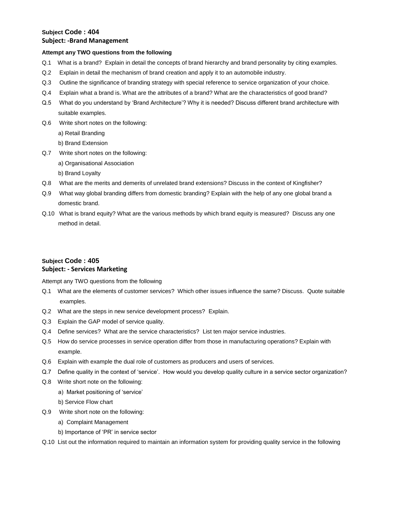# **Subject Code : 404 Subject: -Brand Management**

#### **Attempt any TWO questions from the following**

- Q.1 What is a brand? Explain in detail the concepts of brand hierarchy and brand personality by citing examples.
- Q.2 Explain in detail the mechanism of brand creation and apply it to an automobile industry.
- Q.3 Outline the significance of branding strategy with special reference to service organization of your choice.
- Q.4 Explain what a brand is. What are the attributes of a brand? What are the characteristics of good brand?
- Q.5 What do you understand by "Brand Architecture"? Why it is needed? Discuss different brand architecture with suitable examples.
- Q.6 Write short notes on the following:
	- a) Retail Branding
	- b) Brand Extension
- Q.7 Write short notes on the following:
	- a) Organisational Association
	- b) Brand Loyalty
- Q.8 What are the merits and demerits of unrelated brand extensions? Discuss in the context of Kingfisher?
- Q.9 What way global branding differs from domestic branding? Explain with the help of any one global brand a domestic brand.
- Q.10 What is brand equity? What are the various methods by which brand equity is measured? Discuss any one method in detail.

# **Subject Code : 405 Subject: - Services Marketing**

Attempt any TWO questions from the following

- Q.1 What are the elements of customer services? Which other issues influence the same? Discuss. Quote suitable examples.
- Q.2 What are the steps in new service development process? Explain.
- Q.3 Explain the GAP model of service quality.
- Q.4 Define services? What are the service characteristics? List ten major service industries.
- Q.5 How do service processes in service operation differ from those in manufacturing operations? Explain with example.
- Q.6 Explain with example the dual role of customers as producers and users of services.
- Q.7 Define quality in the context of "service". How would you develop quality culture in a service sector organization?
- Q.8 Write short note on the following:
	- a) Market positioning of 'service'
	- b) Service Flow chart
- Q.9 Write short note on the following:
	- a) Complaint Management
	- b) Importance of "PR" in service sector
- Q.10 List out the information required to maintain an information system for providing quality service in the following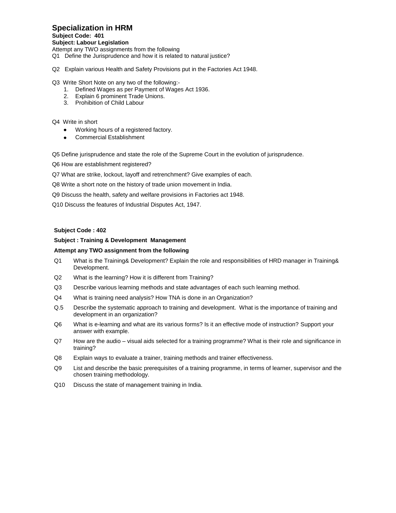# **Specialization in HRM**

#### **Subject Code: 401**

**Subject: Labour Legislation**

Attempt any TWO assignments from the following

- Q1 Define the Jurisprudence and how it is related to natural justice?
- Q2 Explain various Health and Safety Provisions put in the Factories Act 1948.

#### Q3 Write Short Note on any two of the following:-

- 1. Defined Wages as per Payment of Wages Act 1936.
- 2. Explain 6 prominent Trade Unions.
- 3. Prohibition of Child Labour

#### Q4 Write in short

- Working hours of a registered factory.
- Commercial Establishment  $\bullet$

Q5 Define jurisprudence and state the role of the Supreme Court in the evolution of jurisprudence.

Q6 How are establishment registered?

Q7 What are strike, lockout, layoff and retrenchment? Give examples of each.

Q8 Write a short note on the history of trade union movement in India.

Q9 Discuss the health, safety and welfare provisions in Factories act 1948.

Q10 Discuss the features of Industrial Disputes Act, 1947.

#### **Subject Code : 402**

#### **Subject : Training & Development Management**

- Q1 What is the Training& Development? Explain the role and responsibilities of HRD manager in Training& Development.
- Q2 What is the learning? How it is different from Training?
- Q3 Describe various learning methods and state advantages of each such learning method.
- Q4 What is training need analysis? How TNA is done in an Organization?
- Q.5 Describe the systematic approach to training and development. What is the importance of training and development in an organization?
- Q6 What is e-learning and what are its various forms? Is it an effective mode of instruction? Support your answer with example.
- Q7 How are the audio visual aids selected for a training programme? What is their role and significance in training?
- Q8 Explain ways to evaluate a trainer, training methods and trainer effectiveness.
- Q9 List and describe the basic prerequisites of a training programme, in terms of learner, supervisor and the chosen training methodology.
- Q10 Discuss the state of management training in India.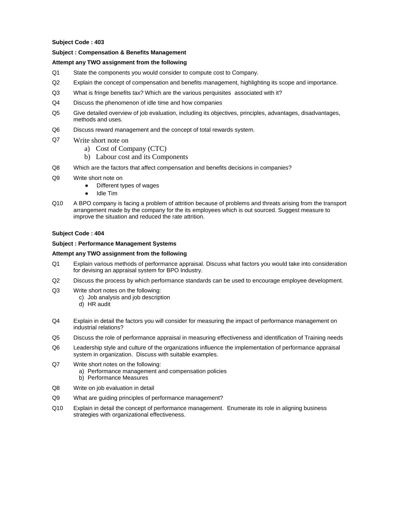#### **Subject : Compensation & Benefits Management**

#### **Attempt any TWO assignment from the following**

- Q1 State the components you would consider to compute cost to Company.
- Q2 Explain the concept of compensation and benefits management, highlighting its scope and importance.
- Q3 What is fringe benefits tax? Which are the various perquisites associated with it?
- Q4 Discuss the phenomenon of idle time and how companies
- Q5 Give detailed overview of job evaluation, including its objectives, principles, advantages, disadvantages, methods and uses.
- Q6 Discuss reward management and the concept of total rewards system.
- Q7 Write short note on
	- a) Cost of Company (CTC)
	- b) Labour cost and its Components
- Q8 Which are the factors that affect compensation and benefits decisions in companies?
- Q9 Write short note on
	- Different types of wages  $\bullet$
	- Idle Tim
- Q10 A BPO company is facing a problem of attrition because of problems and threats arising from the transport arrangement made by the company for the its employees which is out sourced. Suggest measure to improve the situation and reduced the rate attrition.

#### **Subject Code : 404**

#### **Subject : Performance Management Systems**

- Q1 Explain various methods of performance appraisal. Discuss what factors you would take into consideration for devising an appraisal system for BPO Industry.
- Q2 Discuss the process by which performance standards can be used to encourage employee development.
- Q3 Write short notes on the following:
	- c) Job analysis and job description
	- d) HR audit
- Q4 Explain in detail the factors you will consider for measuring the impact of performance management on industrial relations?
- Q5 Discuss the role of performance appraisal in measuring effectiveness and identification of Training needs
- Q6 Leadership style and culture of the organizations influence the implementation of performance appraisal system in organization. Discuss with suitable examples.
- Q7 Write short notes on the following:
	- a) Performance management and compensation policies
	- b) Performance Measures
- Q8 Write on job evaluation in detail
- Q9 What are guiding principles of performance management?
- Q10 Explain in detail the concept of performance management. Enumerate its role in aligning business strategies with organizational effectiveness.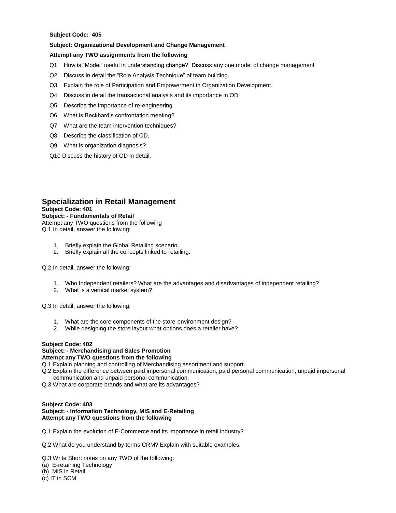#### **Subject: Organizational Development and Change Management**

#### **Attempt any TWO assignments from the following**

- Q1 How is "Model" useful in understanding change? Discuss any one model of change management
- Q2 Discuss in detail the "Role Analysis Technique" of team building.
- Q3 Explain the role of Participation and Empowerment in Organization Development.
- Q4 Discuss in detail the transactional analysis and its importance in OD
- Q5 Describe the importance of re-engineering
- Q6 What is Beckhard"s confrontation meeting?
- Q7 What are the team intervention techniques?
- Q8 Describe the classification of OD.
- Q9 What is organization diagnosis?
- Q10 Discuss the history of OD in detail.

## **Specialization in Retail Management**

**Subject Code: 401**

#### **Subject: - Fundamentals of Retail**

Attempt any TWO questions from the following Q.1 In detail, answer the following:

- 1. Briefly explain the Global Retailing scenario.
- 2. Briefly explain all the concepts linked to retailing.

Q.2 In detail, answer the following:

- 1. Who Independent retailers? What are the advantages and disadvantages of independent retailing?
- 2. What is a vertical market system?

Q.3 In detail, answer the following:

- 1. What are the core components of the store-environment design?
- 2. While designing the store layout what options does a retailer have?

#### **Subject Code: 402**

# **Subject: - Merchandising and Sales Promotion**

# **Attempt any TWO questions from the following**

- Q.1 Explain planning and controlling of Merchandising assortment and support.
- Q.2 Explain the difference between paid impersonal communication, paid personal communication, unpaid impersonal communication and unpaid personal communication.
- Q.3 What are corporate brands and what are its advantages?

#### **Subject Code: 403 Subject: - Information Technology, MIS and E-Retailing Attempt any TWO questions from the following**

Q.1 Explain the evolution of E-Commerce and its importance in retail industry?

Q.2 What do you understand by terms CRM? Explain with suitable examples.

Q.3 Write Short notes on any TWO of the following:

- (a) E-retaining Technology
- (b) MIS in Retail
- (c) IT in SCM